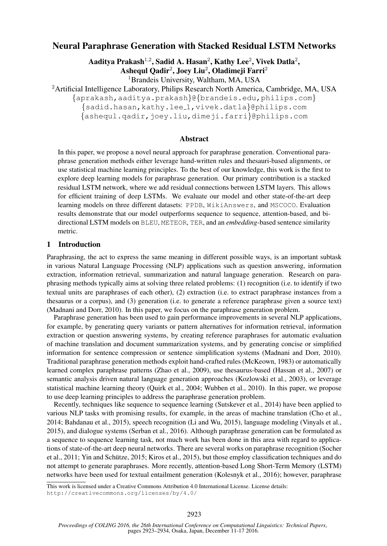# Neural Paraphrase Generation with Stacked Residual LSTM Networks

Aaditya Prakash $^{1,2}$ , Sadid A. Hasan $^2$ , Kathy Lee $^2$ , Vivek Datla $^2$ , Ashequl Qadir $^2$ , Joey Liu $^2$ , Oladimeji Farri $^2$ 

<sup>1</sup>Brandeis University, Waltham, MA, USA

<sup>2</sup> Artificial Intelligence Laboratory, Philips Research North America, Cambridge, MA, USA

{aprakash,aaditya.prakash}@{brandeis.edu,philips.com}

{sadid.hasan,kathy.lee 1,vivek.datla}@philips.com

{ashequl.qadir,joey.liu,dimeji.farri}@philips.com

### Abstract

In this paper, we propose a novel neural approach for paraphrase generation. Conventional paraphrase generation methods either leverage hand-written rules and thesauri-based alignments, or use statistical machine learning principles. To the best of our knowledge, this work is the first to explore deep learning models for paraphrase generation. Our primary contribution is a stacked residual LSTM network, where we add residual connections between LSTM layers. This allows for efficient training of deep LSTMs. We evaluate our model and other state-of-the-art deep learning models on three different datasets: PPDB, WikiAnswers, and MSCOCO. Evaluation results demonstrate that our model outperforms sequence to sequence, attention-based, and bidirectional LSTM models on BLEU, METEOR, TER, and an *embedding*-based sentence similarity metric.

### 1 Introduction

Paraphrasing, the act to express the same meaning in different possible ways, is an important subtask in various Natural Language Processing (NLP) applications such as question answering, information extraction, information retrieval, summarization and natural language generation. Research on paraphrasing methods typically aims at solving three related problems: (1) recognition (i.e. to identify if two textual units are paraphrases of each other), (2) extraction (i.e. to extract paraphrase instances from a thesaurus or a corpus), and (3) generation (i.e. to generate a reference paraphrase given a source text) (Madnani and Dorr, 2010). In this paper, we focus on the paraphrase generation problem.

Paraphrase generation has been used to gain performance improvements in several NLP applications, for example, by generating query variants or pattern alternatives for information retrieval, information extraction or question answering systems, by creating reference paraphrases for automatic evaluation of machine translation and document summarization systems, and by generating concise or simplified information for sentence compression or sentence simplification systems (Madnani and Dorr, 2010). Traditional paraphrase generation methods exploit hand-crafted rules (McKeown, 1983) or automatically learned complex paraphrase patterns (Zhao et al., 2009), use thesaurus-based (Hassan et al., 2007) or semantic analysis driven natural language generation approaches (Kozlowski et al., 2003), or leverage statistical machine learning theory (Quirk et al., 2004; Wubben et al., 2010). In this paper, we propose to use deep learning principles to address the paraphrase generation problem.

Recently, techniques like sequence to sequence learning (Sutskever et al., 2014) have been applied to various NLP tasks with promising results, for example, in the areas of machine translation (Cho et al., 2014; Bahdanau et al., 2015), speech recognition (Li and Wu, 2015), language modeling (Vinyals et al., 2015), and dialogue systems (Serban et al., 2016). Although paraphrase generation can be formulated as a sequence to sequence learning task, not much work has been done in this area with regard to applications of state-of-the-art deep neural networks. There are several works on paraphrase recognition (Socher et al., 2011; Yin and Schütze, 2015; Kiros et al., 2015), but those employ classification techniques and do not attempt to generate paraphrases. More recently, attention-based Long Short-Term Memory (LSTM) networks have been used for textual entailment generation (Kolesnyk et al., 2016); however, paraphrase

This work is licensed under a Creative Commons Attribution 4.0 International License. License details: http://creativecommons.org/licenses/by/4.0/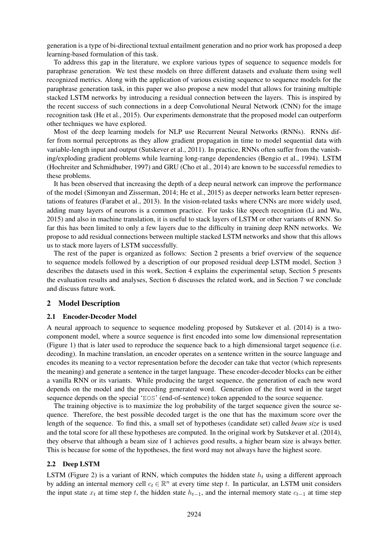generation is a type of bi-directional textual entailment generation and no prior work has proposed a deep learning-based formulation of this task.

To address this gap in the literature, we explore various types of sequence to sequence models for paraphrase generation. We test these models on three different datasets and evaluate them using well recognized metrics. Along with the application of various existing sequence to sequence models for the paraphrase generation task, in this paper we also propose a new model that allows for training multiple stacked LSTM networks by introducing a residual connection between the layers. This is inspired by the recent success of such connections in a deep Convolutional Neural Network (CNN) for the image recognition task (He et al., 2015). Our experiments demonstrate that the proposed model can outperform other techniques we have explored.

Most of the deep learning models for NLP use Recurrent Neural Networks (RNNs). RNNs differ from normal perceptrons as they allow gradient propagation in time to model sequential data with variable-length input and output (Sutskever et al., 2011). In practice, RNNs often suffer from the vanishing/exploding gradient problems while learning long-range dependencies (Bengio et al., 1994). LSTM (Hochreiter and Schmidhuber, 1997) and GRU (Cho et al., 2014) are known to be successful remedies to these problems.

It has been observed that increasing the depth of a deep neural network can improve the performance of the model (Simonyan and Zisserman, 2014; He et al., 2015) as deeper networks learn better representations of features (Farabet et al., 2013). In the vision-related tasks where CNNs are more widely used, adding many layers of neurons is a common practice. For tasks like speech recognition (Li and Wu, 2015) and also in machine translation, it is useful to stack layers of LSTM or other variants of RNN. So far this has been limited to only a few layers due to the difficulty in training deep RNN networks. We propose to add residual connections between multiple stacked LSTM networks and show that this allows us to stack more layers of LSTM successfully.

The rest of the paper is organized as follows: Section 2 presents a brief overview of the sequence to sequence models followed by a description of our proposed residual deep LSTM model, Section 3 describes the datasets used in this work, Section 4 explains the experimental setup, Section 5 presents the evaluation results and analyses, Section 6 discusses the related work, and in Section 7 we conclude and discuss future work.

### 2 Model Description

### 2.1 Encoder-Decoder Model

A neural approach to sequence to sequence modeling proposed by Sutskever et al. (2014) is a twocomponent model, where a source sequence is first encoded into some low dimensional representation (Figure 1) that is later used to reproduce the sequence back to a high dimensional target sequence (i.e. decoding). In machine translation, an encoder operates on a sentence written in the source language and encodes its meaning to a vector representation before the decoder can take that vector (which represents the meaning) and generate a sentence in the target language. These encoder-decoder blocks can be either a vanilla RNN or its variants. While producing the target sequence, the generation of each new word depends on the model and the preceding generated word. Generation of the first word in the target sequence depends on the special 'EOS' (end-of-sentence) token appended to the source sequence.

The training objective is to maximize the log probability of the target sequence given the source sequence. Therefore, the best possible decoded target is the one that has the maximum score over the length of the sequence. To find this, a small set of hypotheses (candidate set) called *beam size* is used and the total score for all these hypotheses are computed. In the original work by Sutskever et al. (2014), they observe that although a beam size of 1 achieves good results, a higher beam size is always better. This is because for some of the hypotheses, the first word may not always have the highest score.

### 2.2 Deep LSTM

LSTM (Figure 2) is a variant of RNN, which computes the hidden state  $h_t$  using a different approach by adding an internal memory cell  $c_t \in \mathbb{R}^n$  at every time step t. In particular, an LSTM unit considers the input state  $x_t$  at time step t, the hidden state  $h_{t-1}$ , and the internal memory state  $c_{t-1}$  at time step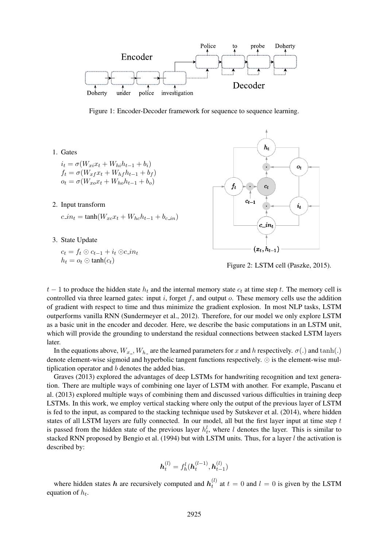

Figure 1: Encoder-Decoder framework for sequence to sequence learning.

1. Gates

 $i_t = \sigma(W_{xi}x_t + W_{hi}h_{t-1} + b_i)$  $f_t = \sigma(W_{xf}x_t + W_{hf}h_{t-1} + b_f)$  $o_t = \sigma(W_{xo}x_t + W_{ho}h_{t-1} + b_o)$ 

2. Input transform

$$
c_- in_t = \tanh(W_{xc} x_t + W_{hc} h_{t-1} + b_{c_- in})
$$

- 3. State Update
	- $c_t = f_t \odot c_{t-1} + i_t \odot c_2$ in<sub>t</sub>  $h_t = o_t \odot \tanh(c_t)$



Figure 2: LSTM cell (Paszke, 2015).

 $t-1$  to produce the hidden state  $h_t$  and the internal memory state  $c_t$  at time step t. The memory cell is controlled via three learned gates: input  $i$ , forget  $f$ , and output  $o$ . These memory cells use the addition of gradient with respect to time and thus minimize the gradient explosion. In most NLP tasks, LSTM outperforms vanilla RNN (Sundermeyer et al., 2012). Therefore, for our model we only explore LSTM as a basic unit in the encoder and decoder. Here, we describe the basic computations in an LSTM unit, which will provide the grounding to understand the residual connections between stacked LSTM layers later.

In the equations above,  $W_{x}$ ,  $W_{h}$  are the learned parameters for x and h respectively.  $\sigma(.)$  and  $tanh(.)$ denote element-wise sigmoid and hyperbolic tangent functions respectively.  $\odot$  is the element-wise multiplication operator and b denotes the added bias.

Graves (2013) explored the advantages of deep LSTMs for handwriting recognition and text generation. There are multiple ways of combining one layer of LSTM with another. For example, Pascanu et al. (2013) explored multiple ways of combining them and discussed various difficulties in training deep LSTMs. In this work, we employ vertical stacking where only the output of the previous layer of LSTM is fed to the input, as compared to the stacking technique used by Sutskever et al. (2014), where hidden states of all LSTM layers are fully connected. In our model, all but the first layer input at time step  $t$ is passed from the hidden state of the previous layer  $h_t^l$ , where l denotes the layer. This is similar to stacked RNN proposed by Bengio et al. (1994) but with LSTM units. Thus, for a layer l the activation is described by:

$$
\bm{h}_t^{(l)} = f_h^l(\bm{h}_t^{(l-1)}, \bm{h}_{t-1}^{(l)})
$$

where hidden states h are recursively computed and  $h_t^{(l)}$  $t_t^{(t)}$  at  $t = 0$  and  $l = 0$  is given by the LSTM equation of  $h_t$ .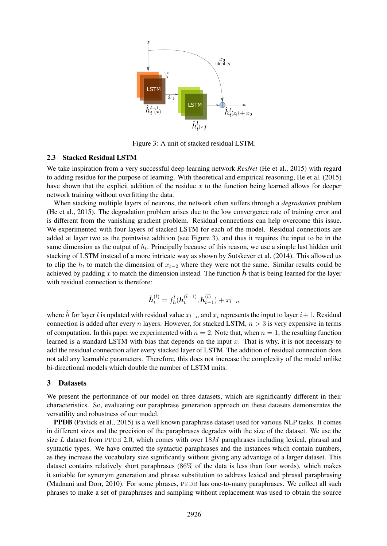

Figure 3: A unit of stacked residual LSTM.

#### 2.3 Stacked Residual LSTM

We take inspiration from a very successful deep learning network *ResNet* (He et al., 2015) with regard to adding residue for the purpose of learning. With theoretical and empirical reasoning, He et al. (2015) have shown that the explicit addition of the residue  $x$  to the function being learned allows for deeper network training without overfitting the data.

When stacking multiple layers of neurons, the network often suffers through a *degradation* problem (He et al., 2015). The degradation problem arises due to the low convergence rate of training error and is different from the vanishing gradient problem. Residual connections can help overcome this issue. We experimented with four-layers of stacked LSTM for each of the model. Residual connections are added at layer two as the pointwise addition (see Figure 3), and thus it requires the input to be in the same dimension as the output of  $h_t$ . Principally because of this reason, we use a simple last hidden unit stacking of LSTM instead of a more intricate way as shown by Sutskever et al. (2014). This allowed us to clip the  $h_t$  to match the dimension of  $x_{t-2}$  where they were not the same. Similar results could be achieved by padding x to match the dimension instead. The function  $\hat{h}$  that is being learned for the layer with residual connection is therefore:

$$
\hat{\boldsymbol{h}}_t^{(l)} = f_h^l(\boldsymbol{h}_t^{(l-1)}, \boldsymbol{h}_{t-1}^{(l)}) + x_{l-n}
$$

where  $\hat{h}$  for layer l is updated with residual value  $x_{l-n}$  and  $x_i$  represents the input to layer  $i+1$ . Residual connection is added after every n layers. However, for stacked LSTM,  $n > 3$  is very expensive in terms of computation. In this paper we experimented with  $n = 2$ . Note that, when  $n = 1$ , the resulting function learned is a standard LSTM with bias that depends on the input  $x$ . That is why, it is not necessary to add the residual connection after every stacked layer of LSTM. The addition of residual connection does not add any learnable parameters. Therefore, this does not increase the complexity of the model unlike bi-directional models which double the number of LSTM units.

#### 3 Datasets

We present the performance of our model on three datasets, which are significantly different in their characteristics. So, evaluating our paraphrase generation approach on these datasets demonstrates the versatility and robustness of our model.

PPDB (Pavlick et al., 2015) is a well known paraphrase dataset used for various NLP tasks. It comes in different sizes and the precision of the paraphrases degrades with the size of the dataset. We use the size L dataset from PPDB 2.0, which comes with over  $18M$  paraphrases including lexical, phrasal and syntactic types. We have omitted the syntactic paraphrases and the instances which contain numbers, as they increase the vocabulary size significantly without giving any advantage of a larger dataset. This dataset contains relatively short paraphrases (86% of the data is less than four words), which makes it suitable for synonym generation and phrase substitution to address lexical and phrasal paraphrasing (Madnani and Dorr, 2010). For some phrases, PPDB has one-to-many paraphrases. We collect all such phrases to make a set of paraphrases and sampling without replacement was used to obtain the source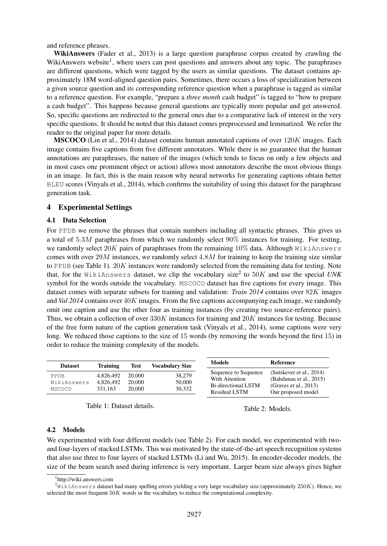and reference phrases.

WikiAnswers (Fader et al., 2013) is a large question paraphrase corpus created by crawling the WikiAnswers website<sup>1</sup>, where users can post questions and answers about any topic. The paraphrases are different questions, which were tagged by the users as similar questions. The dataset contains approximately 18M word-aligned question pairs. Sometimes, there occurs a loss of specialization between a given source question and its corresponding reference question when a paraphrase is tagged as similar to a reference question. For example, "prepare a *three month* cash budget" is tagged to "how to prepare a cash budget". This happens because general questions are typically more popular and get answered. So, specific questions are redirected to the general ones due to a comparative lack of interest in the very specific questions. It should be noted that this dataset comes preprocessed and lemmatized. We refer the reader to the original paper for more details.

MSCOCO (Lin et al., 2014) dataset contains human annotated captions of over 120K images. Each image contains five captions from five different annotators. While there is no guarantee that the human annotations are paraphrases, the nature of the images (which tends to focus on only a few objects and in most cases one prominent object or action) allows most annotators describe the most obvious things in an image. In fact, this is the main reason why neural networks for generating captions obtain better BLEU scores (Vinyals et al., 2014), which confirms the suitability of using this dataset for the paraphrase generation task.

### 4 Experimental Settings

#### 4.1 Data Selection

For PPDB we remove the phrases that contain numbers including all syntactic phrases. This gives us a total of 5.3M paraphrases from which we randomly select  $90\%$  instances for training. For testing, we randomly select  $20K$  pairs of paraphrases from the remaining  $10\%$  data. Although WikiAnswers comes with over  $29M$  instances, we randomly select  $4.8M$  for training to keep the training size similar to PPDB (see Table 1).  $20K$  instances were randomly selected from the remaining data for testing. Note that, for the WikiAnswers dataset, we clip the vocabulary size<sup>2</sup> to  $50K$  and use the special  $\emph{UNK}$ symbol for the words outside the vocabulary. MSCOCO dataset has five captions for every image. This dataset comes with separate subsets for training and validation: *Train 2014* contains over 82K images and *Val 2014* contains over 40K images. From the five captions accompanying each image, we randomly omit one caption and use the other four as training instances (by creating two source-reference pairs). Thus, we obtain a collection of over  $330K$  instances for training and  $20K$  instances for testing. Because of the free form nature of the caption generation task (Vinyals et al., 2014), some captions were very long. We reduced those captions to the size of 15 words (by removing the words beyond the first 15) in order to reduce the training complexity of the models.

| <b>Dataset</b>                       | Training                          | Test                       | <b>Vocabulary Size</b>     | <b>Models</b>                                                                         | Reference                                                                                                |
|--------------------------------------|-----------------------------------|----------------------------|----------------------------|---------------------------------------------------------------------------------------|----------------------------------------------------------------------------------------------------------|
| PPDB<br>WikiAnswers<br><b>MSCOCO</b> | 4.826.492<br>4.826.492<br>331.163 | 20,000<br>20,000<br>20,000 | 38,279<br>50,000<br>30,332 | Sequence to Sequence<br>With Attention<br><b>Bi-directional LSTM</b><br>Residual LSTM | (Sutskever et al., $2014$ )<br>(Bahdanau et al., 2015)<br>(Graves et al., $2013$ )<br>Our proposed model |

Table 1: Dataset details.

Table 2: Models.

#### 4.2 Models

We experimented with four different models (see Table 2). For each model, we experimented with twoand four-layers of stacked LSTMs. This was motivated by the state-of-the-art speech recognition systems that also use three to four layers of stacked LSTMs (Li and Wu, 2015). In encoder-decoder models, the size of the beam search used during inference is very important. Larger beam size always gives higher

<sup>1</sup> http://wiki.answers.com

<sup>&</sup>lt;sup>2</sup>WikiAnswers dataset had many spelling errors yielding a very large vocabulary size (approximately 250K). Hence, we selected the most frequent  $50K$  words in the vocabulary to reduce the computational complexity.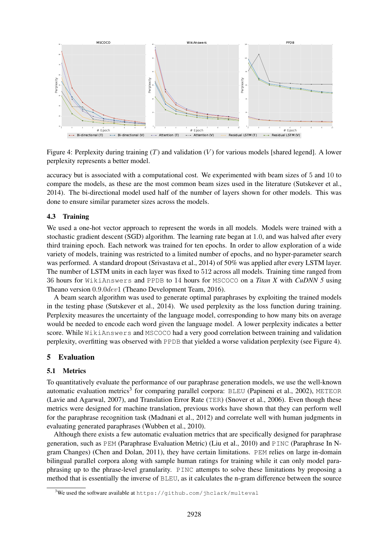

Figure 4: Perplexity during training  $(T)$  and validation  $(V)$  for various models [shared legend]. A lower perplexity represents a better model.

accuracy but is associated with a computational cost. We experimented with beam sizes of 5 and 10 to compare the models, as these are the most common beam sizes used in the literature (Sutskever et al., 2014). The bi-directional model used half of the number of layers shown for other models. This was done to ensure similar parameter sizes across the models.

### 4.3 Training

We used a one-hot vector approach to represent the words in all models. Models were trained with a stochastic gradient descent (SGD) algorithm. The learning rate began at 1.0, and was halved after every third training epoch. Each network was trained for ten epochs. In order to allow exploration of a wide variety of models, training was restricted to a limited number of epochs, and no hyper-parameter search was performed. A standard dropout (Srivastava et al., 2014) of 50% was applied after every LSTM layer. The number of LSTM units in each layer was fixed to 512 across all models. Training time ranged from 36 hours for WikiAnswers and PPDB to 14 hours for MSCOCO on a *Titan X* with *CuDNN 5* using Theano version 0.9.0dev1 (Theano Development Team, 2016).

A beam search algorithm was used to generate optimal paraphrases by exploiting the trained models in the testing phase (Sutskever et al., 2014). We used perplexity as the loss function during training. Perplexity measures the uncertainty of the language model, corresponding to how many bits on average would be needed to encode each word given the language model. A lower perplexity indicates a better score. While WikiAnswers and MSCOCO had a very good correlation between training and validation perplexity, overfitting was observed with PPDB that yielded a worse validation perplexity (see Figure 4).

### 5 Evaluation

### 5.1 Metrics

To quantitatively evaluate the performance of our paraphrase generation models, we use the well-known automatic evaluation metrics<sup>3</sup> for comparing parallel corpora: BLEU (Papineni et al., 2002), METEOR (Lavie and Agarwal, 2007), and Translation Error Rate (TER) (Snover et al., 2006). Even though these metrics were designed for machine translation, previous works have shown that they can perform well for the paraphrase recognition task (Madnani et al., 2012) and correlate well with human judgments in evaluating generated paraphrases (Wubben et al., 2010).

Although there exists a few automatic evaluation metrics that are specifically designed for paraphrase generation, such as PEM (Paraphrase Evaluation Metric) (Liu et al., 2010) and PINC (Paraphrase In Ngram Changes) (Chen and Dolan, 2011), they have certain limitations. PEM relies on large in-domain bilingual parallel corpora along with sample human ratings for training while it can only model paraphrasing up to the phrase-level granularity. PINC attempts to solve these limitations by proposing a method that is essentially the inverse of BLEU, as it calculates the n-gram difference between the source

<sup>&</sup>lt;sup>3</sup>We used the software available at https://github.com/jhclark/multeval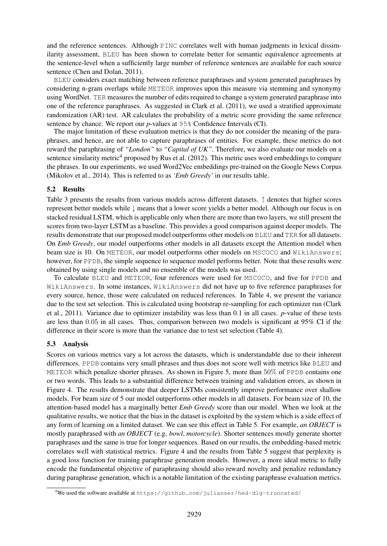and the reference sentences. Although PINC correlates well with human judgments in lexical dissimilarity assessment, BLEU has been shown to correlate better for semantic equivalence agreements at the sentence-level when a sufficiently large number of reference sentences are available for each source sentence (Chen and Dolan, 2011).

BLEU considers exact matching between reference paraphrases and system generated paraphrases by considering n-gram overlaps while METEOR improves upon this measure via stemming and synonymy using WordNet. TER measures the number of edits required to change a system generated paraphrase into one of the reference paraphrases. As suggested in Clark et al. (2011), we used a stratified approximate randomization (AR) test. AR calculates the probability of a metric score providing the same reference sentence by chance. We report our *p*-values at 95% Confidence Intervals (CI).

The major limitation of these evaluation metrics is that they do not consider the meaning of the paraphrases, and hence, are not able to capture paraphrases of entities. For example, these metrics do not reward the paraphrasing of *"London"* to *"Capital of UK"*. Therefore, we also evaluate our models on a sentence similarity metric<sup>4</sup> proposed by Rus et al. (2012). This metric uses word embeddings to compare the phrases. In our experiments, we used Word2Vec embeddings pre-trained on the Google News Corpus (Mikolov et al., 2014). This is referred to as *'Emb Greedy'* in our results table.

### 5.2 Results

Table 3 presents the results from various models across different datasets. ↑ denotes that higher scores represent better models while ↓ means that a lower score yields a better model. Although our focus is on stacked residual LSTM, which is applicable only when there are more than two layers, we still present the scores from two-layer LSTM as a baseline. This provides a good comparison against deeper models. The results demonstrate that our proposed model outperforms other models on BLEU and TER for all datasets. On *Emb Greedy*, our model outperforms other models in all datasets except the Attention model when beam size is 10. On METEOR, our model outperforms other models on MSCOCO and WikiAnswers; however, for PPDB, the simple sequence to sequence model performs better. Note that these results were obtained by using single models and no ensemble of the models was used.

To calculate BLEU and METEOR, four references were used for MSCOCO, and five for PPDB and WikiAnswers. In some instances, WikiAnswers did not have up to five reference paraphrases for every source, hence, those were calculated on reduced references. In Table 4, we present the variance due to the test set selection. This is calculated using bootstrap re-sampling for each optimizer run (Clark et al., 2011). Variance due to optimizer instability was less than 0.1 in all cases. *p*-value of these tests are less than 0.05 in all cases. Thus, comparison between two models is significant at 95% CI if the difference in their score is more than the variance due to test set selection (Table 4).

### 5.3 Analysis

Scores on various metrics vary a lot across the datasets, which is understandable due to their inherent differences. PPDB contains very small phrases and thus does not score well with metrics like BLEU and METEOR which penalize shorter phrases. As shown in Figure 5, more than 50% of PPDB contains one or two words. This leads to a substantial difference between training and validation errors, as shown in Figure 4. The results demonstrate that deeper LSTMs consistently improve performance over shallow models. For beam size of 5 our model outperforms other models in all datasets. For beam size of 10, the attention-based model has a marginally better *Emb Greedy* score than our model. When we look at the qualitative results, we notice that the bias in the dataset is exploited by the system which is a side effect of any form of learning on a limited dataset. We can see this effect in Table 5. For example, *an OBJECT* is mostly paraphrased with *an OBJECT* (e.g. *bowl*, *motorcycle*). Shorter sentences mostly generate shorter paraphrases and the same is true for longer sequences. Based on our results, the embedding-based metric correlates well with statistical metrics. Figure 4 and the results from Table 5 suggest that perplexity is a good loss function for training paraphrase generation models. However, a more ideal metric to fully encode the fundamental objective of paraphrasing should also reward novelty and penalize redundancy during paraphrase generation, which is a notable limitation of the existing paraphrase evaluation metrics.

<sup>4</sup>We used the software available at https://github.com/julianser/hed-dlg-truncated/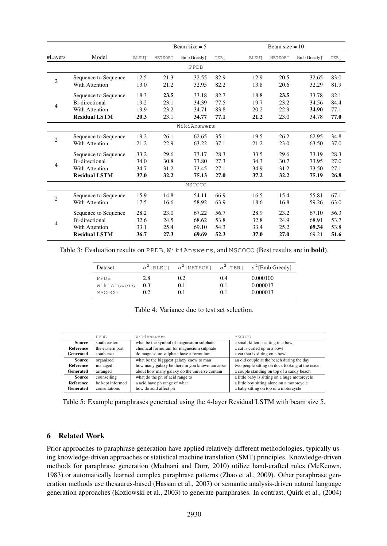|                |                      | Beam size $= 5$          |                     |                                             | Beam size $= 10$ |                          |                     |                         |      |
|----------------|----------------------|--------------------------|---------------------|---------------------------------------------|------------------|--------------------------|---------------------|-------------------------|------|
| #Layers        | Model                | <b>BLEU</b> <sup>1</sup> | METEOR <sup>1</sup> | Emb Greedy <sup><math>\uparrow</math></sup> | TER.             | <b>BLEU</b> <sup>1</sup> | METEOR <sup>1</sup> | Emb Greedy <sup>1</sup> | TER. |
|                |                      |                          |                     | PPDB                                        |                  |                          |                     |                         |      |
| $\mathbf{2}$   | Sequence to Sequence | 12.5                     | 21.3                | 32.55                                       | 82.9             | 12.9                     | 20.5                | 32.65                   | 83.0 |
|                | With Attention       | 13.0                     | 21.2                | 32.95                                       | 82.2             | 13.8                     | 20.6                | 32.29                   | 81.9 |
| 4              | Sequence to Sequence | 18.3                     | 23.5                | 33.18                                       | 82.7             | 18.8                     | 23.5                | 33.78                   | 82.1 |
|                | Bi-directional       | 19.2                     | 23.1                | 34.39                                       | 77.5             | 19.7                     | 23.2                | 34.56                   | 84.4 |
|                | With Attention       | 19.9                     | 23.2                | 34.71                                       | 83.8             | 20.2                     | 22.9                | 34.90                   | 77.1 |
|                | <b>Residual LSTM</b> | 20.3                     | 23.1                | 34.77                                       | 77.1             | 21.2                     | 23.0                | 34.78                   | 77.0 |
| WikiAnswers    |                      |                          |                     |                                             |                  |                          |                     |                         |      |
| $\mathbf{2}$   | Sequence to Sequence | 19.2                     | 26.1                | 62.65                                       | 35.1             | 19.5                     | 26.2                | 62.95                   | 34.8 |
|                | With Attention       | 21.2                     | 22.9                | 63.22                                       | 37.1             | 21.2                     | 23.0                | 63.50                   | 37.0 |
| $\overline{4}$ | Sequence to Sequence | 33.2                     | 29.6                | 73.17                                       | 28.3             | 33.5                     | 29.6                | 73.19                   | 28.3 |
|                | Bi-directional       | 34.0                     | 30.8                | 73.80                                       | 27.3             | 34.3                     | 30.7                | 73.95                   | 27.0 |
|                | With Attention       | 34.7                     | 31.2                | 73.45                                       | 27.1             | 34.9                     | 31.2                | 73.50                   | 27.1 |
|                | <b>Residual LSTM</b> | 37.0                     | 32.2                | 75.13                                       | 27.0             | 37.2                     | 32.2                | 75.19                   | 26.8 |
| <b>MSCOCO</b>  |                      |                          |                     |                                             |                  |                          |                     |                         |      |
| $\mathbf{2}$   | Sequence to Sequence | 15.9                     | 14.8                | 54.11                                       | 66.9             | 16.5                     | 15.4                | 55.81                   | 67.1 |
|                | With Attention       | 17.5                     | 16.6                | 58.92                                       | 63.9             | 18.6                     | 16.8                | 59.26                   | 63.0 |
| 4              | Sequence to Sequence | 28.2                     | 23.0                | 67.22                                       | 56.7             | 28.9                     | 23.2                | 67.10                   | 56.3 |
|                | Bi-directional       | 32.6                     | 24.5                | 68.62                                       | 53.8             | 32.8                     | 24.9                | 68.91                   | 53.7 |
|                | With Attention       | 33.1                     | 25.4                | 69.10                                       | 54.3             | 33.4                     | 25.2                | 69.34                   | 53.8 |
|                | <b>Residual LSTM</b> | 36.7                     | 27.3                | 69.69                                       | 52.3             | 37.0                     | 27.0                | 69.21                   | 51.6 |

Table 3: Evaluation results on PPDB, WikiAnswers, and MSCOCO (Best results are in bold).

| Dataset       |     |     |     | $\sigma^2$ [BLEU] $\sigma^2$ [METEOR] $\sigma^2$ [TER] $\sigma^2$ [ <b>Emb Greedy</b> ] |
|---------------|-----|-----|-----|-----------------------------------------------------------------------------------------|
| PPDB          | 2.8 | 0.2 | 0.4 | 0.000100                                                                                |
| WikiAnswers   | 0.3 | 0.1 | 0.1 | 0.000017                                                                                |
| <b>MSCOCO</b> | 0.2 | 0.1 | 0.1 | 0.000013                                                                                |

Table 4: Variance due to test set selection.

|               | PPDB             | WikiAnswers                                    | <b>MSCOCO</b>                                   |
|---------------|------------------|------------------------------------------------|-------------------------------------------------|
| <b>Source</b> | south eastern    | what be the symbol of magnesium sulphate       | a small kitten is sitting in a bowl             |
| Reference     | the eastern part | chemical formulum for magnesium sulphate       | a cat is curled up in a bowl                    |
| Generated     | south east       | do magnesium sulphate have a formulum          | a cat that is sitting on a bowl                 |
| <b>Source</b> | organized        | what be the bigggest galaxy know to man        | an old couple at the beach during the day       |
| Reference     | managed          | how many galaxy be there in you known universe | two people sitting on dock looking at the ocean |
| Generated     | arranged         | about how many galaxy do the universe contain  | a couple standing on top of a sandy beach       |
| <b>Source</b> | counselling      | what do the ph of acid range to                | a little baby is sitting on a huge motorcycle   |
| Reference     | be kept informed | a acid have ph range of what                   | a little boy sitting alone on a motorcycle      |
| Generated     | consultations    | how do acid affect ph                          | a baby sitting on top of a motorcycle           |

Table 5: Example paraphrases generated using the 4-layer Residual LSTM with beam size 5.

# 6 Related Work

Prior approaches to paraphrase generation have applied relatively different methodologies, typically using knowledge-driven approaches or statistical machine translation (SMT) principles. Knowledge-driven methods for paraphrase generation (Madnani and Dorr, 2010) utilize hand-crafted rules (McKeown, 1983) or automatically learned complex paraphrase patterns (Zhao et al., 2009). Other paraphrase generation methods use thesaurus-based (Hassan et al., 2007) or semantic analysis-driven natural language generation approaches (Kozlowski et al., 2003) to generate paraphrases. In contrast, Quirk et al., (2004)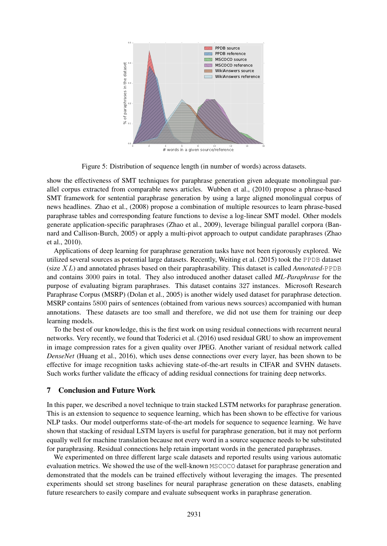

Figure 5: Distribution of sequence length (in number of words) across datasets.

show the effectiveness of SMT techniques for paraphrase generation given adequate monolingual parallel corpus extracted from comparable news articles. Wubben et al., (2010) propose a phrase-based SMT framework for sentential paraphrase generation by using a large aligned monolingual corpus of news headlines. Zhao et al., (2008) propose a combination of multiple resources to learn phrase-based paraphrase tables and corresponding feature functions to devise a log-linear SMT model. Other models generate application-specific paraphrases (Zhao et al., 2009), leverage bilingual parallel corpora (Bannard and Callison-Burch, 2005) or apply a multi-pivot approach to output candidate paraphrases (Zhao et al., 2010).

Applications of deep learning for paraphrase generation tasks have not been rigorously explored. We utilized several sources as potential large datasets. Recently, Weiting et al. (2015) took the PPDB dataset (size XL) and annotated phrases based on their paraphrasability. This dataset is called *Annotated-*PPDB and contains 3000 pairs in total. They also introduced another dataset called *ML-Paraphrase* for the purpose of evaluating bigram paraphrases. This dataset contains 327 instances. Microsoft Research Paraphrase Corpus (MSRP) (Dolan et al., 2005) is another widely used dataset for paraphrase detection. MSRP contains 5800 pairs of sentences (obtained from various news sources) accompanied with human annotations. These datasets are too small and therefore, we did not use them for training our deep learning models.

To the best of our knowledge, this is the first work on using residual connections with recurrent neural networks. Very recently, we found that Toderici et al. (2016) used residual GRU to show an improvement in image compression rates for a given quality over JPEG. Another variant of residual network called *DenseNet* (Huang et al., 2016), which uses dense connections over every layer, has been shown to be effective for image recognition tasks achieving state-of-the-art results in CIFAR and SVHN datasets. Such works further validate the efficacy of adding residual connections for training deep networks.

# 7 Conclusion and Future Work

In this paper, we described a novel technique to train stacked LSTM networks for paraphrase generation. This is an extension to sequence to sequence learning, which has been shown to be effective for various NLP tasks. Our model outperforms state-of-the-art models for sequence to sequence learning. We have shown that stacking of residual LSTM layers is useful for paraphrase generation, but it may not perform equally well for machine translation because not every word in a source sequence needs to be substituted for paraphrasing. Residual connections help retain important words in the generated paraphrases.

We experimented on three different large scale datasets and reported results using various automatic evaluation metrics. We showed the use of the well-known MSCOCO dataset for paraphrase generation and demonstrated that the models can be trained effectively without leveraging the images. The presented experiments should set strong baselines for neural paraphrase generation on these datasets, enabling future researchers to easily compare and evaluate subsequent works in paraphrase generation.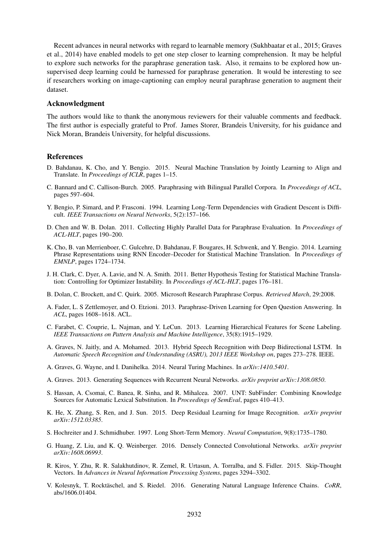Recent advances in neural networks with regard to learnable memory (Sukhbaatar et al., 2015; Graves et al., 2014) have enabled models to get one step closer to learning comprehension. It may be helpful to explore such networks for the paraphrase generation task. Also, it remains to be explored how unsupervised deep learning could be harnessed for paraphrase generation. It would be interesting to see if researchers working on image-captioning can employ neural paraphrase generation to augment their dataset.

### Acknowledgment

The authors would like to thank the anonymous reviewers for their valuable comments and feedback. The first author is especially grateful to Prof. James Storer, Brandeis University, for his guidance and Nick Moran, Brandeis University, for helpful discussions.

#### References

- D. Bahdanau, K. Cho, and Y. Bengio. 2015. Neural Machine Translation by Jointly Learning to Align and Translate. In *Proceedings of ICLR*, pages 1–15.
- C. Bannard and C. Callison-Burch. 2005. Paraphrasing with Bilingual Parallel Corpora. In *Proceedings of ACL*, pages 597–604.
- Y. Bengio, P. Simard, and P. Frasconi. 1994. Learning Long-Term Dependencies with Gradient Descent is Difficult. *IEEE Transactions on Neural Networks*, 5(2):157–166.
- D. Chen and W. B. Dolan. 2011. Collecting Highly Parallel Data for Paraphrase Evaluation. In *Proceedings of ACL-HLT*, pages 190–200.
- K. Cho, B. van Merrienboer, C. Gulcehre, D. Bahdanau, F. Bougares, H. Schwenk, and Y. Bengio. 2014. Learning Phrase Representations using RNN Encoder–Decoder for Statistical Machine Translation. In *Proceedings of EMNLP*, pages 1724–1734.
- J. H. Clark, C. Dyer, A. Lavie, and N. A. Smith. 2011. Better Hypothesis Testing for Statistical Machine Translation: Controlling for Optimizer Instability. In *Proceedings of ACL-HLT*, pages 176–181.
- B. Dolan, C. Brockett, and C. Quirk. 2005. Microsoft Research Paraphrase Corpus. *Retrieved March*, 29:2008.
- A. Fader, L. S Zettlemoyer, and O. Etzioni. 2013. Paraphrase-Driven Learning for Open Question Answering. In *ACL*, pages 1608–1618. ACL.
- C. Farabet, C. Couprie, L. Najman, and Y. LeCun. 2013. Learning Hierarchical Features for Scene Labeling. *IEEE Transactions on Pattern Analysis and Machine Intelligence*, 35(8):1915–1929.
- A. Graves, N. Jaitly, and A. Mohamed. 2013. Hybrid Speech Recognition with Deep Bidirectional LSTM. In *Automatic Speech Recognition and Understanding (ASRU), 2013 IEEE Workshop on*, pages 273–278. IEEE.
- A. Graves, G. Wayne, and I. Danihelka. 2014. Neural Turing Machines. In *arXiv:1410.5401*.
- A. Graves. 2013. Generating Sequences with Recurrent Neural Networks. *arXiv preprint arXiv:1308.0850*.
- S. Hassan, A. Csomai, C. Banea, R. Sinha, and R. Mihalcea. 2007. UNT: SubFinder: Combining Knowledge Sources for Automatic Lexical Substitution. In *Proceedings of SemEval*, pages 410–413.
- K. He, X. Zhang, S. Ren, and J. Sun. 2015. Deep Residual Learning for Image Recognition. *arXiv preprint arXiv:1512.03385*.
- S. Hochreiter and J. Schmidhuber. 1997. Long Short-Term Memory. *Neural Computation*, 9(8):1735–1780.
- G. Huang, Z. Liu, and K. Q. Weinberger. 2016. Densely Connected Convolutional Networks. *arXiv preprint arXiv:1608.06993*.
- R. Kiros, Y. Zhu, R. R. Salakhutdinov, R. Zemel, R. Urtasun, A. Torralba, and S. Fidler. 2015. Skip-Thought Vectors. In *Advances in Neural Information Processing Systems*, pages 3294–3302.
- V. Kolesnyk, T. Rocktaschel, and S. Riedel. 2016. Generating Natural Language Inference Chains. ¨ *CoRR*, abs/1606.01404.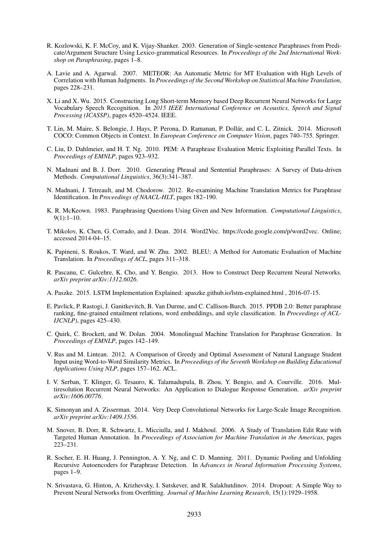- R. Kozlowski, K. F. McCoy, and K. Vijay-Shanker. 2003. Generation of Single-sentence Paraphrases from Predicate/Argument Structure Using Lexico-grammatical Resources. In *Proceedings of the 2nd International Workshop on Paraphrasing*, pages 1–8.
- A. Lavie and A. Agarwal. 2007. METEOR: An Automatic Metric for MT Evaluation with High Levels of Correlation with Human Judgments. In *Proceedings of the Second Workshop on Statistical Machine Translation*, pages 228–231.
- X. Li and X. Wu. 2015. Constructing Long Short-term Memory based Deep Recurrent Neural Networks for Large Vocabulary Speech Recognition. In *2015 IEEE International Conference on Acoustics, Speech and Signal Processing (ICASSP)*, pages 4520–4524. IEEE.
- T. Lin, M. Maire, S. Belongie, J. Hays, P. Perona, D. Ramanan, P. Dollar, and C. L. Zitnick. 2014. Microsoft ´ COCO: Common Objects in Context. In *European Conference on Computer Vision*, pages 740–755. Springer.
- C. Liu, D. Dahlmeier, and H. T. Ng. 2010. PEM: A Paraphrase Evaluation Metric Exploiting Parallel Texts. In *Proceedings of EMNLP*, pages 923–932.
- N. Madnani and B. J. Dorr. 2010. Generating Phrasal and Sentential Paraphrases: A Survey of Data-driven Methods. *Computational Linguistics*, 36(3):341–387.
- N. Madnani, J. Tetreault, and M. Chodorow. 2012. Re-examining Machine Translation Metrics for Paraphrase Identification. In *Proceedings of NAACL-HLT*, pages 182–190.
- K. R. McKeown. 1983. Paraphrasing Questions Using Given and New Information. *Computational Linguistics*, 9(1):1–10.
- T. Mikolov, K. Chen, G. Corrado, and J. Dean. 2014. Word2Vec. https://code.google.com/p/word2vec. Online; accessed 2014-04–15.
- K. Papineni, S. Roukos, T. Ward, and W. Zhu. 2002. BLEU: A Method for Automatic Evaluation of Machine Translation. In *Proceedings of ACL*, pages 311–318.
- R. Pascanu, C. Gulcehre, K. Cho, and Y. Bengio. 2013. How to Construct Deep Recurrent Neural Networks. *arXiv preprint arXiv:1312.6026*.
- A. Paszke. 2015. LSTM Implementation Explained: apaszke.github.io/lstm-explained.html , 2016-07-15.
- E. Pavlick, P. Rastogi, J. Ganitkevitch, B. Van Durme, and C. Callison-Burch. 2015. PPDB 2.0: Better paraphrase ranking, fine-grained entailment relations, word embeddings, and style classification. In *Proceedings of ACL-IJCNLP)*, pages 425–430.
- C. Quirk, C. Brockett, and W. Dolan. 2004. Monolingual Machine Translation for Paraphrase Generation. In *Proceedings of EMNLP*, pages 142–149.
- V. Rus and M. Lintean. 2012. A Comparison of Greedy and Optimal Assessment of Natural Language Student Input using Word-to-Word Similarity Metrics. In *Proceedings of the Seventh Workshop on Building Educational Applications Using NLP*, pages 157–162. ACL.
- I. V. Serban, T. Klinger, G. Tesauro, K. Talamadupula, B. Zhou, Y. Bengio, and A. Courville. 2016. Multiresolution Recurrent Neural Networks: An Application to Dialogue Response Generation. *arXiv preprint arXiv:1606.00776*.
- K. Simonyan and A. Zisserman. 2014. Very Deep Convolutional Networks for Large-Scale Image Recognition. *arXiv preprint arXiv:1409.1556*.
- M. Snover, B. Dorr, R. Schwartz, L. Micciulla, and J. Makhoul. 2006. A Study of Translation Edit Rate with Targeted Human Annotation. In *Proceedings of Association for Machine Translation in the Americas*, pages 223–231.
- R. Socher, E. H. Huang, J. Pennington, A. Y. Ng, and C. D. Manning. 2011. Dynamic Pooling and Unfolding Recursive Autoencoders for Paraphrase Detection. In *Advances in Neural Information Processing Systems*, pages 1–9.
- N. Srivastava, G. Hinton, A. Krizhevsky, I. Sutskever, and R. Salakhutdinov. 2014. Dropout: A Simple Way to Prevent Neural Networks from Overfitting. *Journal of Machine Learning Research*, 15(1):1929–1958.